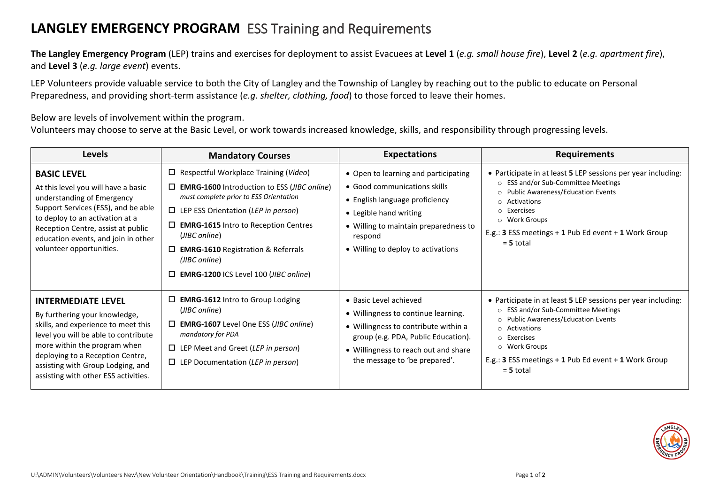## **LANGLEY EMERGENCY PROGRAM** ESS Training and Requirements

**The Langley Emergency Program** (LEP) trains and exercises for deployment to assist Evacuees at **Level 1** (*e.g. small house fire*), **Level 2** (*e.g. apartment fire*), and **Level 3** (*e.g. large event*) events.

LEP Volunteers provide valuable service to both the City of Langley and the Township of Langley by reaching out to the public to educate on Personal Preparedness, and providing short-term assistance (*e.g. shelter, clothing, food*) to those forced to leave their homes.

Below are levels of involvement within the program.

Volunteers may choose to serve at the Basic Level, or work towards increased knowledge, skills, and responsibility through progressing levels.

| <b>Levels</b>                                                                                                                                                                                                                                                                              | <b>Mandatory Courses</b>                                                                                                                                                                                                                                                                                                                                                                    | <b>Expectations</b>                                                                                                                                                                                                        | <b>Requirements</b>                                                                                                                                                                                                                                                                                                           |
|--------------------------------------------------------------------------------------------------------------------------------------------------------------------------------------------------------------------------------------------------------------------------------------------|---------------------------------------------------------------------------------------------------------------------------------------------------------------------------------------------------------------------------------------------------------------------------------------------------------------------------------------------------------------------------------------------|----------------------------------------------------------------------------------------------------------------------------------------------------------------------------------------------------------------------------|-------------------------------------------------------------------------------------------------------------------------------------------------------------------------------------------------------------------------------------------------------------------------------------------------------------------------------|
| <b>BASIC LEVEL</b><br>At this level you will have a basic<br>understanding of Emergency<br>Support Services (ESS), and be able<br>to deploy to an activation at a<br>Reception Centre, assist at public<br>education events, and join in other<br>volunteer opportunities.                 | $\Box$ Respectful Workplace Training (Video)<br>$\Box$ <b>EMRG-1600</b> Introduction to ESS ( <i>JIBC online</i> )<br>must complete prior to ESS Orientation<br>$\Box$ LEP ESS Orientation (LEP in person)<br>$\Box$ <b>EMRG-1615</b> Intro to Reception Centres<br>(JIBC online)<br>$\square$ EMRG-1610 Registration & Referrals<br>(JIBC online)<br>EMRG-1200 ICS Level 100 (JIBC online) | • Open to learning and participating<br>• Good communications skills<br>• English language proficiency<br>• Legible hand writing<br>• Willing to maintain preparedness to<br>respond<br>• Willing to deploy to activations | • Participate in at least 5 LEP sessions per year including:<br>○ ESS and/or Sub-Committee Meetings<br><b>Public Awareness/Education Events</b><br>$\circ$<br>Activations<br>$\circ$<br>Exercises<br>$\circ$<br>Work Groups<br>$\circ$<br>E.g.: 3 ESS meetings + 1 Pub Ed event + 1 Work Group<br>$= 5$ total                 |
| <b>INTERMEDIATE LEVEL</b><br>By furthering your knowledge,<br>skills, and experience to meet this<br>level you will be able to contribute<br>more within the program when<br>deploying to a Reception Centre,<br>assisting with Group Lodging, and<br>assisting with other ESS activities. | $\Box$ EMRG-1612 Intro to Group Lodging<br>(JIBC online)<br>$\Box$ EMRG-1607 Level One ESS (JIBC online)<br>mandatory for PDA<br>$\Box$ LEP Meet and Greet (LEP in person)<br>$\Box$ LEP Documentation (LEP in person)                                                                                                                                                                      | • Basic Level achieved<br>• Willingness to continue learning.<br>• Willingness to contribute within a<br>group (e.g. PDA, Public Education).<br>• Willingness to reach out and share<br>the message to 'be prepared'.      | • Participate in at least 5 LEP sessions per year including:<br><b>ESS and/or Sub-Committee Meetings</b><br>$\circ$<br><b>Public Awareness/Education Events</b><br>$\circ$<br>Activations<br>$\circ$<br>Exercises<br>$\circ$<br>Work Groups<br>$\circ$<br>E.g.: 3 ESS meetings + 1 Pub Ed event + 1 Work Group<br>$= 5$ total |